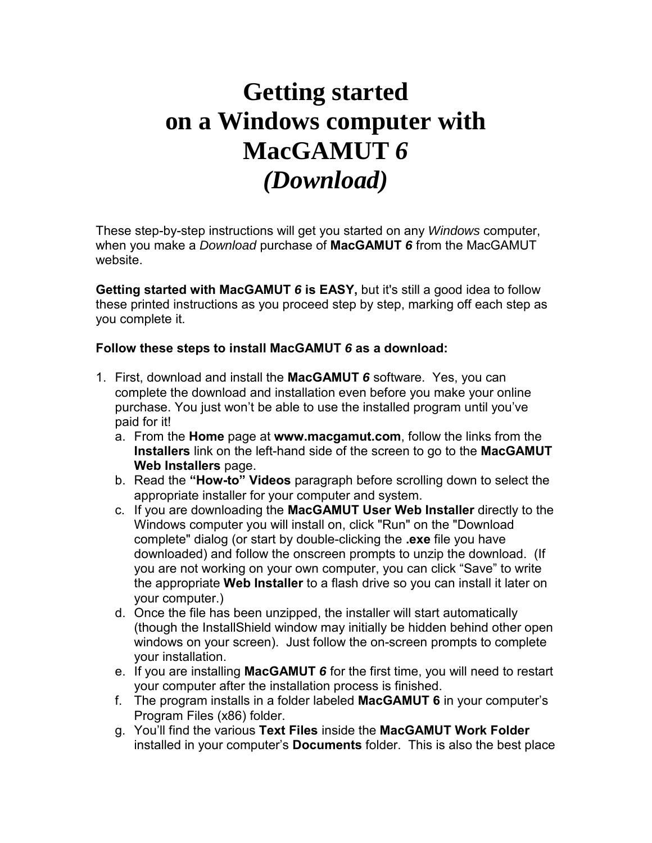## **Getting started on a Windows computer with MacGAMUT** *6 (Download)*

These step-by-step instructions will get you started on any *Windows* computer, when you make a *Download* purchase of **MacGAMUT** *6* from the MacGAMUT website.

**Getting started with MacGAMUT** *6* **is EASY,** but it's still a good idea to follow these printed instructions as you proceed step by step, marking off each step as you complete it.

## **Follow these steps to install MacGAMUT** *6* **as a download:**

- 1. First, download and install the **MacGAMUT** *6* software. Yes, you can complete the download and installation even before you make your online purchase. You just won't be able to use the installed program until you've paid for it!
	- a. From the **Home** page at **www.macgamut.com**, follow the links from the **Installers** link on the left-hand side of the screen to go to the **MacGAMUT Web Installers** page.
	- b. Read the **"How-to" Videos** paragraph before scrolling down to select the appropriate installer for your computer and system.
	- c. If you are downloading the **MacGAMUT User Web Installer** directly to the Windows computer you will install on, click "Run" on the "Download complete" dialog (or start by double-clicking the **.exe** file you have downloaded) and follow the onscreen prompts to unzip the download. (If you are not working on your own computer, you can click "Save" to write the appropriate **Web Installer** to a flash drive so you can install it later on your computer.)
	- d. Once the file has been unzipped, the installer will start automatically (though the InstallShield window may initially be hidden behind other open windows on your screen). Just follow the on-screen prompts to complete your installation.
	- e. If you are installing **MacGAMUT** *6* for the first time, you will need to restart your computer after the installation process is finished.
	- f. The program installs in a folder labeled **MacGAMUT 6** in your computer's Program Files (x86) folder.
	- g. You'll find the various **Text Files** inside the **MacGAMUT Work Folder** installed in your computer's **Documents** folder. This is also the best place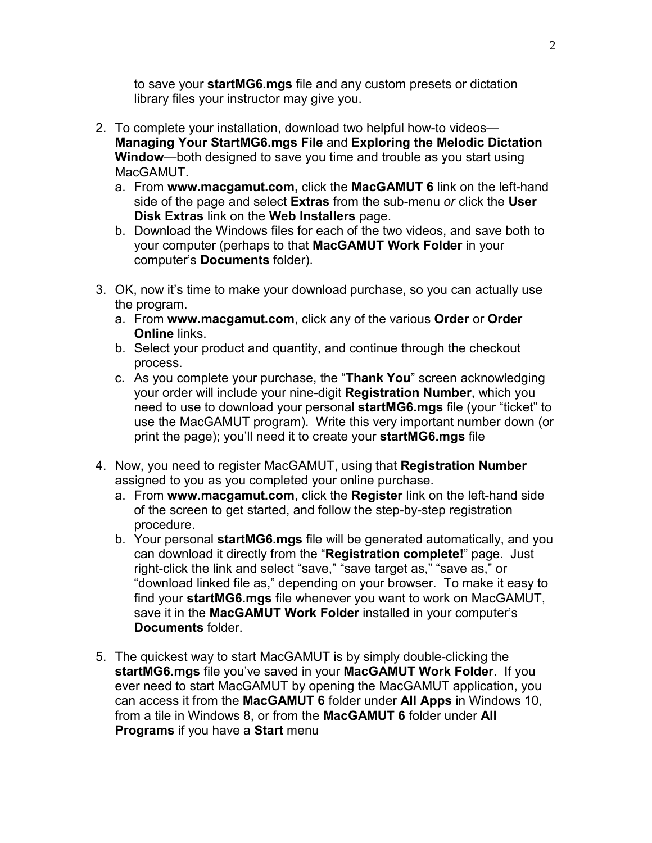to save your **startMG6.mgs** file and any custom presets or dictation library files your instructor may give you.

- 2. To complete your installation, download two helpful how-to videos— **Managing Your StartMG6.mgs File** and **Exploring the Melodic Dictation Window**—both designed to save you time and trouble as you start using MacGAMUT.
	- a. From **www.macgamut.com,** click the **MacGAMUT 6** link on the left-hand side of the page and select **Extras** from the sub-menu *or* click the **User Disk Extras** link on the **Web Installers** page.
	- b. Download the Windows files for each of the two videos, and save both to your computer (perhaps to that **MacGAMUT Work Folder** in your computer's **Documents** folder).
- 3. OK, now it's time to make your download purchase, so you can actually use the program.
	- a. From **www.macgamut.com**, click any of the various **Order** or **Order Online** links.
	- b. Select your product and quantity, and continue through the checkout process.
	- c. As you complete your purchase, the "**Thank You**" screen acknowledging your order will include your nine-digit **Registration Number**, which you need to use to download your personal **startMG6.mgs** file (your "ticket" to use the MacGAMUT program). Write this very important number down (or print the page); you'll need it to create your **startMG6.mgs** file
- 4. Now, you need to register MacGAMUT, using that **Registration Number** assigned to you as you completed your online purchase.
	- a. From **www.macgamut.com**, click the **Register** link on the left-hand side of the screen to get started, and follow the step-by-step registration procedure.
	- b. Your personal **startMG6.mgs** file will be generated automatically, and you can download it directly from the "**Registration complete!**" page. Just right-click the link and select "save," "save target as," "save as," or "download linked file as," depending on your browser. To make it easy to find your **startMG6.mgs** file whenever you want to work on MacGAMUT, save it in the **MacGAMUT Work Folder** installed in your computer's **Documents** folder.
- 5. The quickest way to start MacGAMUT is by simply double-clicking the **startMG6.mgs** file you've saved in your **MacGAMUT Work Folder**. If you ever need to start MacGAMUT by opening the MacGAMUT application, you can access it from the **MacGAMUT 6** folder under **All Apps** in Windows 10, from a tile in Windows 8, or from the **MacGAMUT 6** folder under **All Programs** if you have a **Start** menu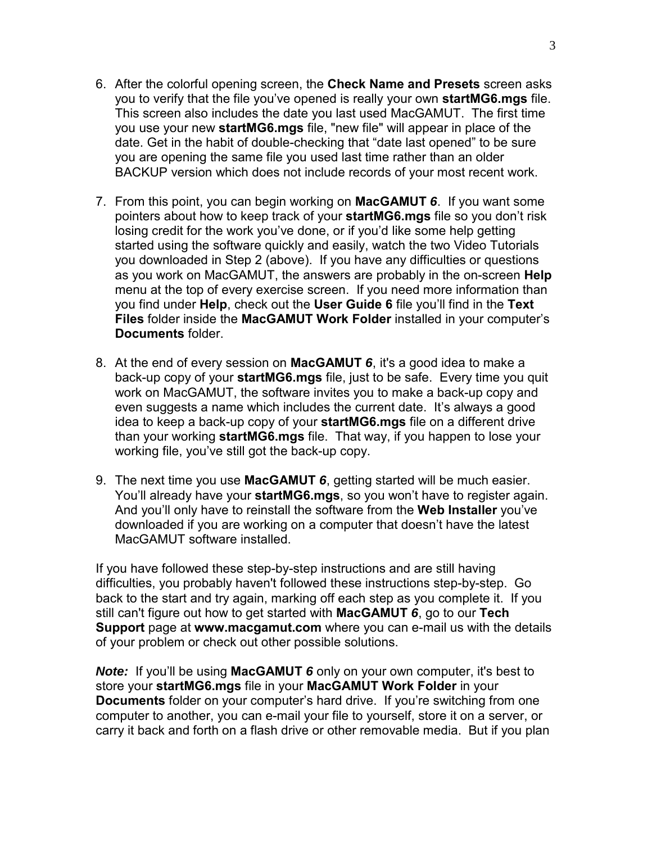- 6. After the colorful opening screen, the **Check Name and Presets** screen asks you to verify that the file you've opened is really your own **startMG6.mgs** file. This screen also includes the date you last used MacGAMUT. The first time you use your new **startMG6.mgs** file, "new file" will appear in place of the date. Get in the habit of double-checking that "date last opened" to be sure you are opening the same file you used last time rather than an older BACKUP version which does not include records of your most recent work.
- 7. From this point, you can begin working on **MacGAMUT** *6*. If you want some pointers about how to keep track of your **startMG6.mgs** file so you don't risk losing credit for the work you've done, or if you'd like some help getting started using the software quickly and easily, watch the two Video Tutorials you downloaded in Step 2 (above). If you have any difficulties or questions as you work on MacGAMUT, the answers are probably in the on-screen **Help** menu at the top of every exercise screen. If you need more information than you find under **Help**, check out the **User Guide 6** file you'll find in the **Text Files** folder inside the **MacGAMUT Work Folder** installed in your computer's **Documents** folder.
- 8. At the end of every session on **MacGAMUT** *6*, it's a good idea to make a back-up copy of your **startMG6.mgs** file, just to be safe. Every time you quit work on MacGAMUT, the software invites you to make a back-up copy and even suggests a name which includes the current date. It's always a good idea to keep a back-up copy of your **startMG6.mgs** file on a different drive than your working **startMG6.mgs** file. That way, if you happen to lose your working file, you've still got the back-up copy.
- 9. The next time you use **MacGAMUT** *6*, getting started will be much easier. You'll already have your **startMG6.mgs**, so you won't have to register again. And you'll only have to reinstall the software from the **Web Installer** you've downloaded if you are working on a computer that doesn't have the latest MacGAMUT software installed.

If you have followed these step-by-step instructions and are still having difficulties, you probably haven't followed these instructions step-by-step. Go back to the start and try again, marking off each step as you complete it. If you still can't figure out how to get started with **MacGAMUT** *6*, go to our **Tech Support** page at **www.macgamut.com** where you can e-mail us with the details of your problem or check out other possible solutions.

*Note:* If you'll be using **MacGAMUT** *6* only on your own computer, it's best to store your **startMG6.mgs** file in your **MacGAMUT Work Folder** in your **Documents** folder on your computer's hard drive. If you're switching from one computer to another, you can e-mail your file to yourself, store it on a server, or carry it back and forth on a flash drive or other removable media. But if you plan